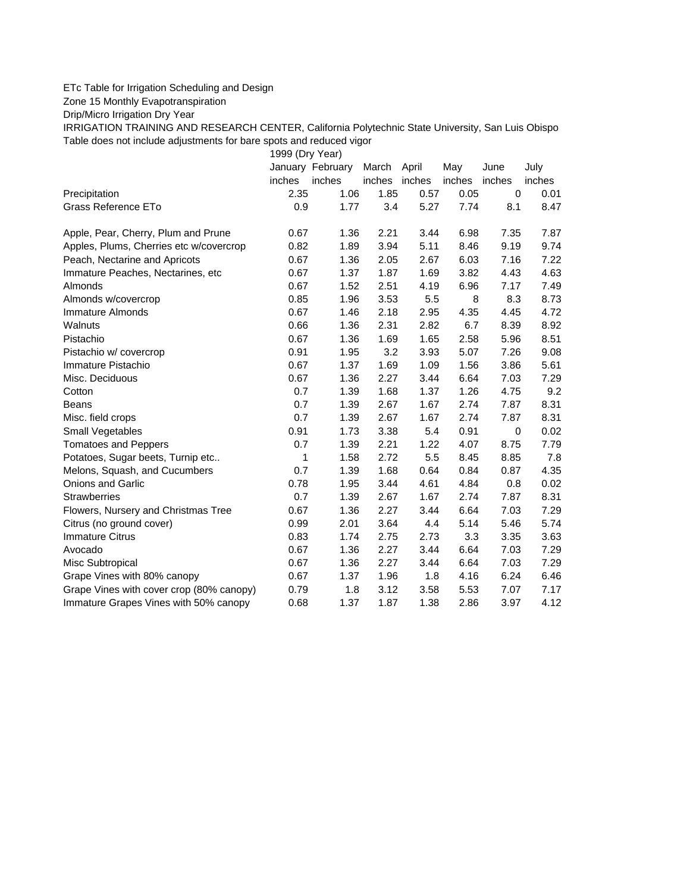## ETc Table for Irrigation Scheduling and Design

Zone 15 Monthly Evapotranspiration

Drip/Micro Irrigation Dry Year

IRRIGATION TRAINING AND RESEARCH CENTER, California Polytechnic State University, San Luis Obispo Table does not include adjustments for bare spots and reduced vigor

1999 (Dry Year)

|                                          |        | January February | March  | April  | May    | June   | July   |
|------------------------------------------|--------|------------------|--------|--------|--------|--------|--------|
|                                          | inches | inches           | inches | inches | inches | inches | inches |
| Precipitation                            | 2.35   | 1.06             | 1.85   | 0.57   | 0.05   | 0      | 0.01   |
| Grass Reference ETo                      | 0.9    | 1.77             | 3.4    | 5.27   | 7.74   | 8.1    | 8.47   |
| Apple, Pear, Cherry, Plum and Prune      | 0.67   | 1.36             | 2.21   | 3.44   | 6.98   | 7.35   | 7.87   |
| Apples, Plums, Cherries etc w/covercrop  | 0.82   | 1.89             | 3.94   | 5.11   | 8.46   | 9.19   | 9.74   |
| Peach, Nectarine and Apricots            | 0.67   | 1.36             | 2.05   | 2.67   | 6.03   | 7.16   | 7.22   |
| Immature Peaches, Nectarines, etc        | 0.67   | 1.37             | 1.87   | 1.69   | 3.82   | 4.43   | 4.63   |
| Almonds                                  | 0.67   | 1.52             | 2.51   | 4.19   | 6.96   | 7.17   | 7.49   |
| Almonds w/covercrop                      | 0.85   | 1.96             | 3.53   | 5.5    | 8      | 8.3    | 8.73   |
| Immature Almonds                         | 0.67   | 1.46             | 2.18   | 2.95   | 4.35   | 4.45   | 4.72   |
| Walnuts                                  | 0.66   | 1.36             | 2.31   | 2.82   | 6.7    | 8.39   | 8.92   |
| Pistachio                                | 0.67   | 1.36             | 1.69   | 1.65   | 2.58   | 5.96   | 8.51   |
| Pistachio w/ covercrop                   | 0.91   | 1.95             | 3.2    | 3.93   | 5.07   | 7.26   | 9.08   |
| Immature Pistachio                       | 0.67   | 1.37             | 1.69   | 1.09   | 1.56   | 3.86   | 5.61   |
| Misc. Deciduous                          | 0.67   | 1.36             | 2.27   | 3.44   | 6.64   | 7.03   | 7.29   |
| Cotton                                   | 0.7    | 1.39             | 1.68   | 1.37   | 1.26   | 4.75   | 9.2    |
| <b>Beans</b>                             | 0.7    | 1.39             | 2.67   | 1.67   | 2.74   | 7.87   | 8.31   |
| Misc. field crops                        | 0.7    | 1.39             | 2.67   | 1.67   | 2.74   | 7.87   | 8.31   |
| Small Vegetables                         | 0.91   | 1.73             | 3.38   | 5.4    | 0.91   | 0      | 0.02   |
| <b>Tomatoes and Peppers</b>              | 0.7    | 1.39             | 2.21   | 1.22   | 4.07   | 8.75   | 7.79   |
| Potatoes, Sugar beets, Turnip etc        | 1      | 1.58             | 2.72   | 5.5    | 8.45   | 8.85   | 7.8    |
| Melons, Squash, and Cucumbers            | 0.7    | 1.39             | 1.68   | 0.64   | 0.84   | 0.87   | 4.35   |
| <b>Onions and Garlic</b>                 | 0.78   | 1.95             | 3.44   | 4.61   | 4.84   | 0.8    | 0.02   |
| <b>Strawberries</b>                      | 0.7    | 1.39             | 2.67   | 1.67   | 2.74   | 7.87   | 8.31   |
| Flowers, Nursery and Christmas Tree      | 0.67   | 1.36             | 2.27   | 3.44   | 6.64   | 7.03   | 7.29   |
| Citrus (no ground cover)                 | 0.99   | 2.01             | 3.64   | 4.4    | 5.14   | 5.46   | 5.74   |
| <b>Immature Citrus</b>                   | 0.83   | 1.74             | 2.75   | 2.73   | 3.3    | 3.35   | 3.63   |
| Avocado                                  | 0.67   | 1.36             | 2.27   | 3.44   | 6.64   | 7.03   | 7.29   |
| Misc Subtropical                         | 0.67   | 1.36             | 2.27   | 3.44   | 6.64   | 7.03   | 7.29   |
| Grape Vines with 80% canopy              | 0.67   | 1.37             | 1.96   | 1.8    | 4.16   | 6.24   | 6.46   |
| Grape Vines with cover crop (80% canopy) | 0.79   | 1.8              | 3.12   | 3.58   | 5.53   | 7.07   | 7.17   |
| Immature Grapes Vines with 50% canopy    | 0.68   | 1.37             | 1.87   | 1.38   | 2.86   | 3.97   | 4.12   |